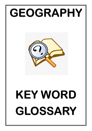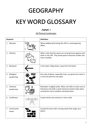## **GEOGRAPHY**

# **KEY WORD GLOSSARY**

## PAPER 1

UK Physical Landscapes

| <b>Keyword</b>              | <b>Definition</b>                                                                                                                                                         |
|-----------------------------|---------------------------------------------------------------------------------------------------------------------------------------------------------------------------|
| 1. Abrasion                 | When pebbles grind along the cliff in a sand-papering<br>effect.                                                                                                          |
| 2. Attrition                | When rocks that the waves are carrying knock against each<br>other or the cliff. They break apart to become smaller and<br>more rounded.                                  |
| Backwash<br>3.              | is the water rolling down, away from the beach.                                                                                                                           |
| 4. Biological<br>weathering | the roots of plants, especially trees, can grow into cracks in<br>a rock and split the rock apart.                                                                        |
| 5. Chemical<br>weathering   | Rainwater is slightly acidic. When rain falls on rocks such as<br>limestone and chalk a weak chemical reaction takes place,<br>causing the rock to weaken and break down. |
| 6. Confluence               | A point where two streams or rivers meet                                                                                                                                  |
| 7. Constructive<br>waves    | A powerful wave with a strong swash that surges up a<br>beach.                                                                                                            |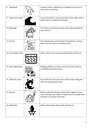| 8. Deposition           |       | A process where sediments are dropped by the river or<br>wave that carried them.                                                                          |
|-------------------------|-------|-----------------------------------------------------------------------------------------------------------------------------------------------------------|
| Destructive waves<br>9. |       | A wave formed by a local storm that crashes down onto a<br>beach and has a powerful backwash.                                                             |
| 10. Discharge           |       | The volume and speed at which water flows through the<br>river channel                                                                                    |
| 11. Erosion             |       | The wearing away and removal of material by a moving<br>force, such as a river or a breaking wave.                                                        |
| 12. Groundwater flow    |       | Water which runs in the ground/rock back into the sea                                                                                                     |
| 13. Hard engineering    | 35552 | Building artificial structures such as sea walls aimed at<br>controlling natural processes.                                                               |
| 14. Hydraulic action    |       | this results from the sheer force of the water hitting the<br>cliffs and wearing them away.                                                               |
| 15. Igneous             |       | Rocks created by volcanic activity when magma or lava<br>cools, forming rocks made of crystals that are usually hard.<br>Examples are granite and basalt. |
| 16. Infiltration        |       | Water which drains downwards into the soil                                                                                                                |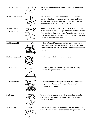| 17. Longshore drift          | The movement of material along a beach transported by<br>wave action.                                                                                                                                                                                                                 |
|------------------------------|---------------------------------------------------------------------------------------------------------------------------------------------------------------------------------------------------------------------------------------------------------------------------------------|
| 18. Mass movement            | is the movement of rocks and soil downslope due to<br>gravity, helped by weaker rocks, steep slopes and heavy<br>rainfall. Mass movements can be very slow - only a few<br>millimetres a year - or sudden and rapid.                                                                  |
| 19. Mechanical<br>weathering | For example, freeze-thaw weathering this happens when<br>rainwater enters cracks or gaps in the rock and then freezes<br>if temperatures drop below zero. The water expands as it<br>turns into ice and then exerts pressure on the rock, causing<br>it to break into smaller pieces. |
| 20. Metamorphic              | Rocks are formed from other rocks changed by extreme<br>pressure or heat. They are usually formed from layers or<br>bands of crystals and are very hard. Examples are slate and<br>marble.                                                                                            |
| 21. Prevailing wind          | Direction from which wind usually blows.                                                                                                                                                                                                                                              |
| 22. Saltation                | A process by which sediment is transported by being<br>bounced along a river bed or sea floor.                                                                                                                                                                                        |
| 23. Sedimentary              | Rocks are formed of small particles that have been eroded,<br>transported and deposited in layers. For example,<br>sandstone or limestone.                                                                                                                                            |
| 24. Sliding                  | Where material moves rapidly downslope in one go, for<br>example, in a landslide. In a slump, the material often<br>rotates as it moves.                                                                                                                                              |
| 25. Slumping                 | Saturated soils and weak rock flow down the slope, often<br>where there is permeable rock on top of impermeable rock.                                                                                                                                                                 |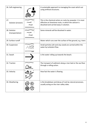| 26. Soft engineering             | A sustainable approach to managing the coast which out<br>using artificial structures.                                                                           |
|----------------------------------|------------------------------------------------------------------------------------------------------------------------------------------------------------------|
| 27.<br>Solution (erosion)        | This is the chemical action on rocks by seawater. It is most<br>effective on limestone rocks, in which the calcium is<br>dissolved and carried away in solution. |
| 28. Solution<br>(transportation) | Some minerals will be dissolved in water.                                                                                                                        |
| 29. Surface runoff               | Water which runs over the surface of the ground, e.g. rivers                                                                                                     |
| 30. Suspension                   | Small particles (silt and clay-sized) are carried within the<br>water by turbulent flow.                                                                         |
| 31. Swash                        | is the water rolling up towards the beach.                                                                                                                       |
| 32. Traction                     | The transport of sediment along a river bed or the sea floor<br>through a rolling action.                                                                        |
| 33. Velocity                     | How fast the water is flowing.                                                                                                                                   |
| 34. Weathering                   | is the breakdown and decay of rock by natural processes,<br>usually acting on the river valley sides.                                                            |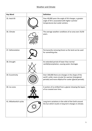## Weather and Climate

| <b>Key Word</b>         | <b>Definition</b>                                                                                                                                                         |
|-------------------------|---------------------------------------------------------------------------------------------------------------------------------------------------------------------------|
| 35. Axial tilt          | Over 40,000 years the angle of tilt changes, a greater<br>angle of tilt is associated with higher summer<br>temperatures but cooler winters.                              |
| 36. Climate             | The average weather conditions of an area over 25/30<br>years.                                                                                                            |
| 37. Deforestation       | Permanently removing forest so the land can be used<br>for something else.                                                                                                |
| 38. Drought             | An extended period of lower than normal<br>rainfall/precipitation, causing water shortages                                                                                |
| 39. Eccentricity        | Over 100,000 there are changes in the shape of the<br>earth's orbit, more circular for warmer (interglacial<br>periods) and more elliptical for cooler (glacial periods). |
| 40. Ice cores           | A section of ice drilled from a glacier showing the layers<br>of ice created over time.                                                                                   |
| 41. Milankovitch cycles | Long term variations in the orbit of the Earth around<br>the Sun which results in long term changes in climate.                                                           |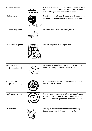| 42. Ocean current                       | A directed movement of ocean water. The currents are<br>made from forces acting on the water, such as, wind,<br>different temperatures and earth's rotation.          |
|-----------------------------------------|-----------------------------------------------------------------------------------------------------------------------------------------------------------------------|
| 43. Precession                          | Over 24,000 years the earth wobbles on its axis creating<br>bigger or smaller differences between summer and<br>winter.                                               |
| 44. Prevailing Winds                    | Direction from which wind usually blows.                                                                                                                              |
| 45. Quaternary period                   | The current period of geological time.                                                                                                                                |
| 46. Solar variation<br>(sunspot theory) | Activity in the sun which means more energy reaches<br>the Earth leading to warmer temperatures.                                                                      |
| 47. Tree rings<br>(dendrochronology)    | Using tree rings to record changes in short-medium<br>term changes in climate.                                                                                        |
| 48. Tropical cyclones                   | This has wind speeds of over 63km per hour. Tropical<br>storms can develop into tropical cyclones, hurricanes or<br>typhoons with wind speeds of over 119km per hour. |
| 49. Weather                             | The day-to-day conditions of the atmosphere e.g.<br>temperature, precipitation, cloud cover etc.                                                                      |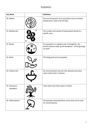#### **Ecosystems**

| <b>Key Word</b>           | <b>Definition</b>                                                                                                         |
|---------------------------|---------------------------------------------------------------------------------------------------------------------------|
| 50. Abiotic               | The non-living parts of an ecosystem such as climate,<br>temperature, water and soil type.                                |
| 51. Biodiversity          | The number and variety of living species found in a<br>specific area                                                      |
| 52. Biome                 | An ecosystem on a global scale. Put together, the<br>world's biomes make up the biosphere - all living things<br>on earth |
| 53. Biotic                | The living parts of an ecosystem                                                                                          |
| 54. Carbon sink           | An environmental reservoir that absorbs and stores<br>more carbon than it releases                                        |
| 55. Deciduous<br>woodland | Trees which lose their leaves in winter.                                                                                  |
| 56. Deforestation         | Permanently removing forest so the land can be used<br>for something else.                                                |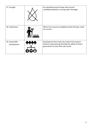| 57. Drought                    | An extended period of lower than normal<br>rainfall/precipitation, causing water shortages                                                      |
|--------------------------------|-------------------------------------------------------------------------------------------------------------------------------------------------|
| 58. Subsistence                | Where the resources available provide the basic needs<br>for survival                                                                           |
| 59. Sustainable<br>development | Development that meets the needs of the present<br>without compromising (limiting) the ability of future<br>generations to meet their own needs |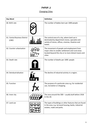## PAPER 2

## Changing Cities

| <b>Key Word</b>                        | <b>Definition</b>                                                                                                                                                   |
|----------------------------------------|---------------------------------------------------------------------------------------------------------------------------------------------------------------------|
| 60. Birth rate                         | The number of babies born per 1000 people                                                                                                                           |
| 61. Central Business District<br>(CBD) | The central area of a city, where land use is<br>dominated by department stores, specialist and<br>variety of stores, offices, cinemas, theatres and<br>hotels.     |
| 62. Counter-urbanisation               | The movement of people and employment from<br>major cities to smaller settlement and rural areas<br>located beyond the city or to more distant towns and<br>cities. |
| 63. Death rate                         | The number of deaths per 1000 people                                                                                                                                |
| 64. Deindustrialisation                | The decline of industrial activity in a region.                                                                                                                     |
| 65. Function                           | The purpose of a particular area e.g. for residential<br>use, recreation or shopping.                                                                               |
| 66. Inner city                         | The area around the CBD - usually built before 1918<br>in the UK.                                                                                                   |
| 67. Land use                           | The types of buildings or other features that are found<br>in the area, e.g. terraced housing, banks, industrial<br>estates, roads and parks.                       |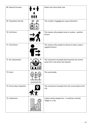| 68. Natural Increase      |     | Death rate minus birth rate                                                            |
|---------------------------|-----|----------------------------------------------------------------------------------------|
| 69. Population density    |     | The number of people per square kilometre.                                             |
| 70. Pull factor           |     | The reasons why people move to a place $-$ positive<br>factors                         |
| 71. Push factor           |     | The reasons why people to choose to leave a place $-$<br>negative factors              |
| 72. Re-urbanisation       |     | The movement of people back towards city centres<br>away from rural areas and suburbs. |
| 73. Rural                 |     | The countryside                                                                        |
| 74. Rural-urban migration |     | The movement of people from the countryside to the<br>city                             |
| 75. Settlement            | ''' | A place where people live $-$ it could be a hamlet,<br>village or a city.              |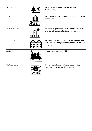| 76. Site            | The land a settlement is built on (physical<br>characteristics).                                                             |
|---------------------|------------------------------------------------------------------------------------------------------------------------------|
| 77. Situation       | The location of a place relative to its surroundings and<br>other places.                                                    |
| 78. Suburbanisation | The outward spread of the built-up area, often at a<br>lower density compared to the older parts of town.                    |
| 79. Suburb          | The area on the edge of the city. Many suburbs were<br>build after 1945 and get newer as they reach the edge<br>of the city. |
| 80. Urban           | Built up areas - towns and cities                                                                                            |
| 81. Urbanisation    | The increase in the percentage of people living in<br>towns and cities, causing them to grow.                                |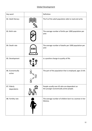## Global Development

| Key word                   |   | Definition                                                                             |
|----------------------------|---|----------------------------------------------------------------------------------------|
| 82. Adult literacy         |   | The % of the adult population able to read and write.                                  |
| 83. Birth rate             |   | The average number of births per 1000 population per<br>year.                          |
| 84. Death rate             |   | The average number of deaths per 1000 population per<br>year.                          |
| 85. Development            |   | is a positive change to quality of life.                                               |
| 86. Economically<br>active | ய | The part of the population that is employed, ages 15-64.                               |
| 87. Elderly<br>dependents  |   | People usually over 65 who are dependent on<br>the younger economically active people. |
| 88. Fertility rate         |   | The average number of children born to a woman in her<br>lifetime.                     |